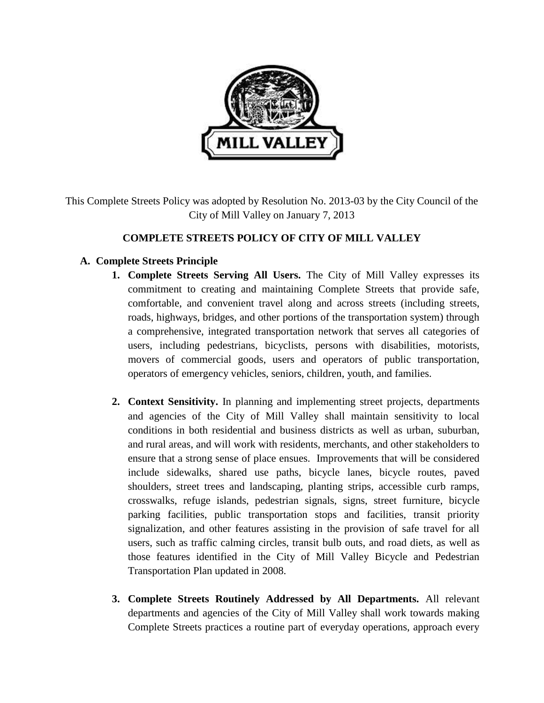

This Complete Streets Policy was adopted by Resolution No. 2013-03 by the City Council of the City of Mill Valley on January 7, 2013

# **COMPLETE STREETS POLICY OF CITY OF MILL VALLEY**

# **A. Complete Streets Principle**

- **1. Complete Streets Serving All Users.** The City of Mill Valley expresses its commitment to creating and maintaining Complete Streets that provide safe, comfortable, and convenient travel along and across streets (including streets, roads, highways, bridges, and other portions of the transportation system) through a comprehensive, integrated transportation network that serves all categories of users, including pedestrians, bicyclists, persons with disabilities, motorists, movers of commercial goods, users and operators of public transportation, operators of emergency vehicles, seniors, children, youth, and families.
- **2. Context Sensitivity.** In planning and implementing street projects, departments and agencies of the City of Mill Valley shall maintain sensitivity to local conditions in both residential and business districts as well as urban, suburban, and rural areas, and will work with residents, merchants, and other stakeholders to ensure that a strong sense of place ensues. Improvements that will be considered include sidewalks, shared use paths, bicycle lanes, bicycle routes, paved shoulders, street trees and landscaping, planting strips, accessible curb ramps, crosswalks, refuge islands, pedestrian signals, signs, street furniture, bicycle parking facilities, public transportation stops and facilities, transit priority signalization, and other features assisting in the provision of safe travel for all users, such as traffic calming circles, transit bulb outs, and road diets, as well as those features identified in the City of Mill Valley Bicycle and Pedestrian Transportation Plan updated in 2008.
- **3. Complete Streets Routinely Addressed by All Departments.** All relevant departments and agencies of the City of Mill Valley shall work towards making Complete Streets practices a routine part of everyday operations, approach every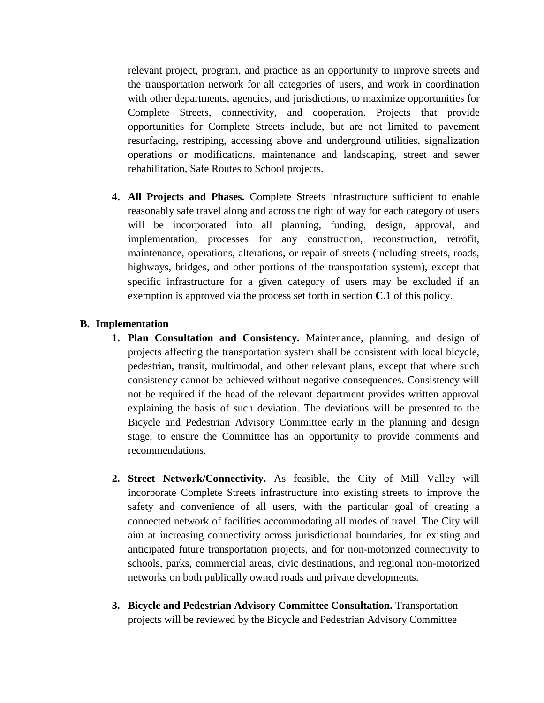relevant project, program, and practice as an opportunity to improve streets and the transportation network for all categories of users, and work in coordination with other departments, agencies, and jurisdictions, to maximize opportunities for Complete Streets, connectivity, and cooperation. Projects that provide opportunities for Complete Streets include, but are not limited to pavement resurfacing, restriping, accessing above and underground utilities, signalization operations or modifications, maintenance and landscaping, street and sewer rehabilitation, Safe Routes to School projects.

**4. All Projects and Phases.** Complete Streets infrastructure sufficient to enable reasonably safe travel along and across the right of way for each category of users will be incorporated into all planning, funding, design, approval, and implementation, processes for any construction, reconstruction, retrofit, maintenance, operations, alterations, or repair of streets (including streets, roads, highways, bridges, and other portions of the transportation system), except that specific infrastructure for a given category of users may be excluded if an exemption is approved via the process set forth in section **C.1** of this policy.

#### **B. Implementation**

- **1. Plan Consultation and Consistency.** Maintenance, planning, and design of projects affecting the transportation system shall be consistent with local bicycle, pedestrian, transit, multimodal, and other relevant plans, except that where such consistency cannot be achieved without negative consequences. Consistency will not be required if the head of the relevant department provides written approval explaining the basis of such deviation. The deviations will be presented to the Bicycle and Pedestrian Advisory Committee early in the planning and design stage, to ensure the Committee has an opportunity to provide comments and recommendations.
- **2. Street Network/Connectivity.** As feasible, the City of Mill Valley will incorporate Complete Streets infrastructure into existing streets to improve the safety and convenience of all users, with the particular goal of creating a connected network of facilities accommodating all modes of travel. The City will aim at increasing connectivity across jurisdictional boundaries, for existing and anticipated future transportation projects, and for non-motorized connectivity to schools, parks, commercial areas, civic destinations, and regional non-motorized networks on both publically owned roads and private developments.
- **3. Bicycle and Pedestrian Advisory Committee Consultation.** Transportation projects will be reviewed by the Bicycle and Pedestrian Advisory Committee